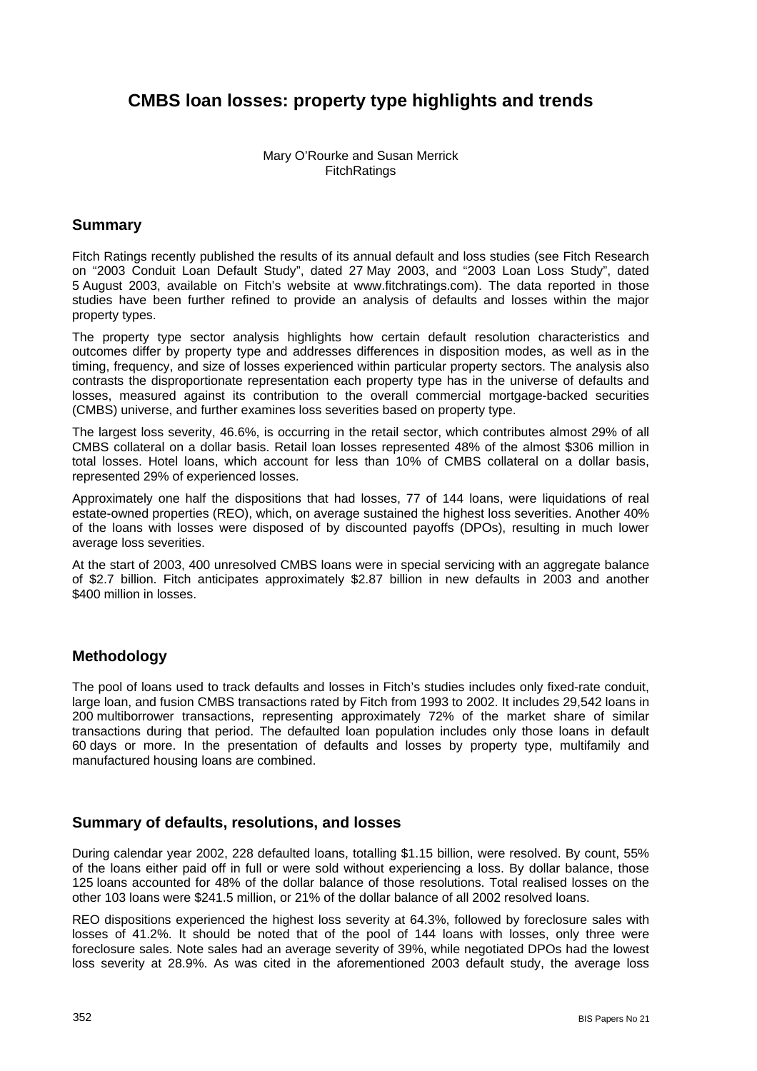# **CMBS loan losses: property type highlights and trends**

### Mary O'Rourke and Susan Merrick **FitchRatings**

## **Summary**

Fitch Ratings recently published the results of its annual default and loss studies (see Fitch Research on "2003 Conduit Loan Default Study", dated 27 May 2003, and "2003 Loan Loss Study", dated 5 August 2003, available on Fitch's website at www.fitchratings.com). The data reported in those studies have been further refined to provide an analysis of defaults and losses within the major property types.

The property type sector analysis highlights how certain default resolution characteristics and outcomes differ by property type and addresses differences in disposition modes, as well as in the timing, frequency, and size of losses experienced within particular property sectors. The analysis also contrasts the disproportionate representation each property type has in the universe of defaults and losses, measured against its contribution to the overall commercial mortgage-backed securities (CMBS) universe, and further examines loss severities based on property type.

The largest loss severity, 46.6%, is occurring in the retail sector, which contributes almost 29% of all CMBS collateral on a dollar basis. Retail loan losses represented 48% of the almost \$306 million in total losses. Hotel loans, which account for less than 10% of CMBS collateral on a dollar basis, represented 29% of experienced losses.

Approximately one half the dispositions that had losses, 77 of 144 loans, were liquidations of real estate-owned properties (REO), which, on average sustained the highest loss severities. Another 40% of the loans with losses were disposed of by discounted payoffs (DPOs), resulting in much lower average loss severities.

At the start of 2003, 400 unresolved CMBS loans were in special servicing with an aggregate balance of \$2.7 billion. Fitch anticipates approximately \$2.87 billion in new defaults in 2003 and another \$400 million in losses.

## **Methodology**

The pool of loans used to track defaults and losses in Fitch's studies includes only fixed-rate conduit, large loan, and fusion CMBS transactions rated by Fitch from 1993 to 2002. It includes 29,542 loans in 200 multiborrower transactions, representing approximately 72% of the market share of similar transactions during that period. The defaulted loan population includes only those loans in default 60 days or more. In the presentation of defaults and losses by property type, multifamily and manufactured housing loans are combined.

## **Summary of defaults, resolutions, and losses**

During calendar year 2002, 228 defaulted loans, totalling \$1.15 billion, were resolved. By count, 55% of the loans either paid off in full or were sold without experiencing a loss. By dollar balance, those 125 loans accounted for 48% of the dollar balance of those resolutions. Total realised losses on the other 103 loans were \$241.5 million, or 21% of the dollar balance of all 2002 resolved loans.

REO dispositions experienced the highest loss severity at 64.3%, followed by foreclosure sales with losses of 41.2%. It should be noted that of the pool of 144 loans with losses, only three were foreclosure sales. Note sales had an average severity of 39%, while negotiated DPOs had the lowest loss severity at 28.9%. As was cited in the aforementioned 2003 default study, the average loss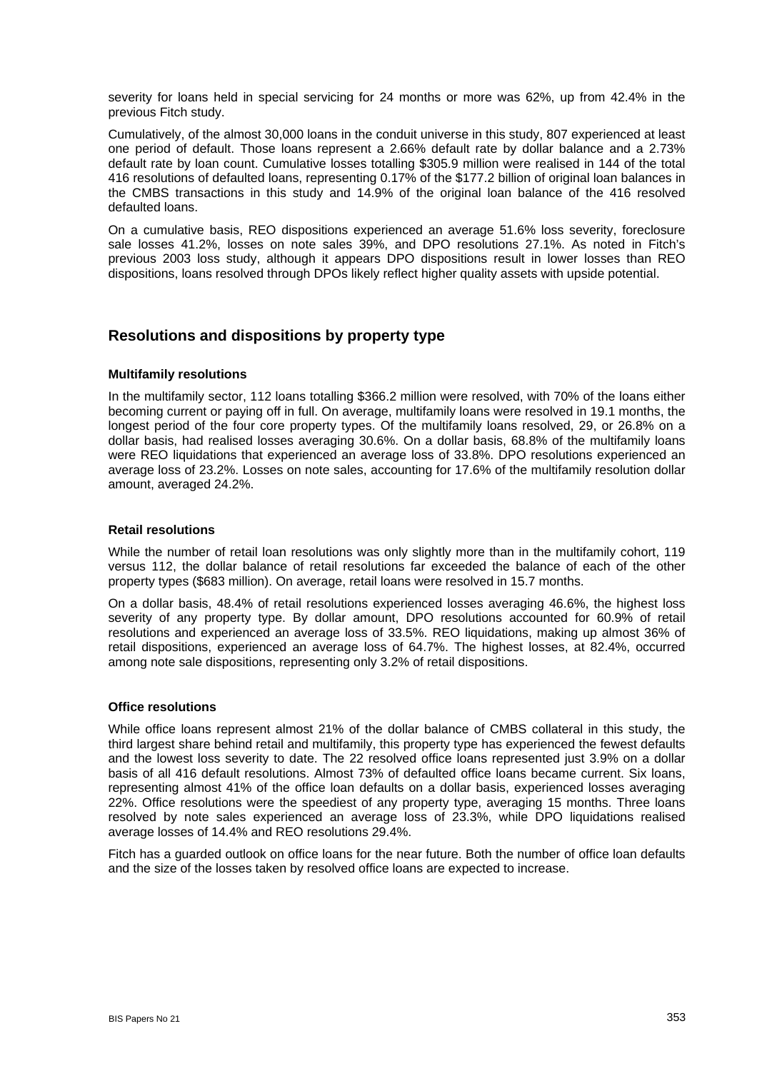severity for loans held in special servicing for 24 months or more was 62%, up from 42.4% in the previous Fitch study.

Cumulatively, of the almost 30,000 loans in the conduit universe in this study, 807 experienced at least one period of default. Those loans represent a 2.66% default rate by dollar balance and a 2.73% default rate by loan count. Cumulative losses totalling \$305.9 million were realised in 144 of the total 416 resolutions of defaulted loans, representing 0.17% of the \$177.2 billion of original loan balances in the CMBS transactions in this study and 14.9% of the original loan balance of the 416 resolved defaulted loans.

On a cumulative basis, REO dispositions experienced an average 51.6% loss severity, foreclosure sale losses 41.2%, losses on note sales 39%, and DPO resolutions 27.1%. As noted in Fitch's previous 2003 loss study, although it appears DPO dispositions result in lower losses than REO dispositions, loans resolved through DPOs likely reflect higher quality assets with upside potential.

### **Resolutions and dispositions by property type**

#### **Multifamily resolutions**

In the multifamily sector, 112 loans totalling \$366.2 million were resolved, with 70% of the loans either becoming current or paying off in full. On average, multifamily loans were resolved in 19.1 months, the longest period of the four core property types. Of the multifamily loans resolved, 29, or 26.8% on a dollar basis, had realised losses averaging 30.6%. On a dollar basis, 68.8% of the multifamily loans were REO liquidations that experienced an average loss of 33.8%. DPO resolutions experienced an average loss of 23.2%. Losses on note sales, accounting for 17.6% of the multifamily resolution dollar amount, averaged 24.2%.

#### **Retail resolutions**

While the number of retail loan resolutions was only slightly more than in the multifamily cohort, 119 versus 112, the dollar balance of retail resolutions far exceeded the balance of each of the other property types (\$683 million). On average, retail loans were resolved in 15.7 months.

On a dollar basis, 48.4% of retail resolutions experienced losses averaging 46.6%, the highest loss severity of any property type. By dollar amount, DPO resolutions accounted for 60.9% of retail resolutions and experienced an average loss of 33.5%. REO liquidations, making up almost 36% of retail dispositions, experienced an average loss of 64.7%. The highest losses, at 82.4%, occurred among note sale dispositions, representing only 3.2% of retail dispositions.

#### **Office resolutions**

While office loans represent almost 21% of the dollar balance of CMBS collateral in this study, the third largest share behind retail and multifamily, this property type has experienced the fewest defaults and the lowest loss severity to date. The 22 resolved office loans represented just 3.9% on a dollar basis of all 416 default resolutions. Almost 73% of defaulted office loans became current. Six loans, representing almost 41% of the office loan defaults on a dollar basis, experienced losses averaging 22%. Office resolutions were the speediest of any property type, averaging 15 months. Three loans resolved by note sales experienced an average loss of 23.3%, while DPO liquidations realised average losses of 14.4% and REO resolutions 29.4%.

Fitch has a guarded outlook on office loans for the near future. Both the number of office loan defaults and the size of the losses taken by resolved office loans are expected to increase.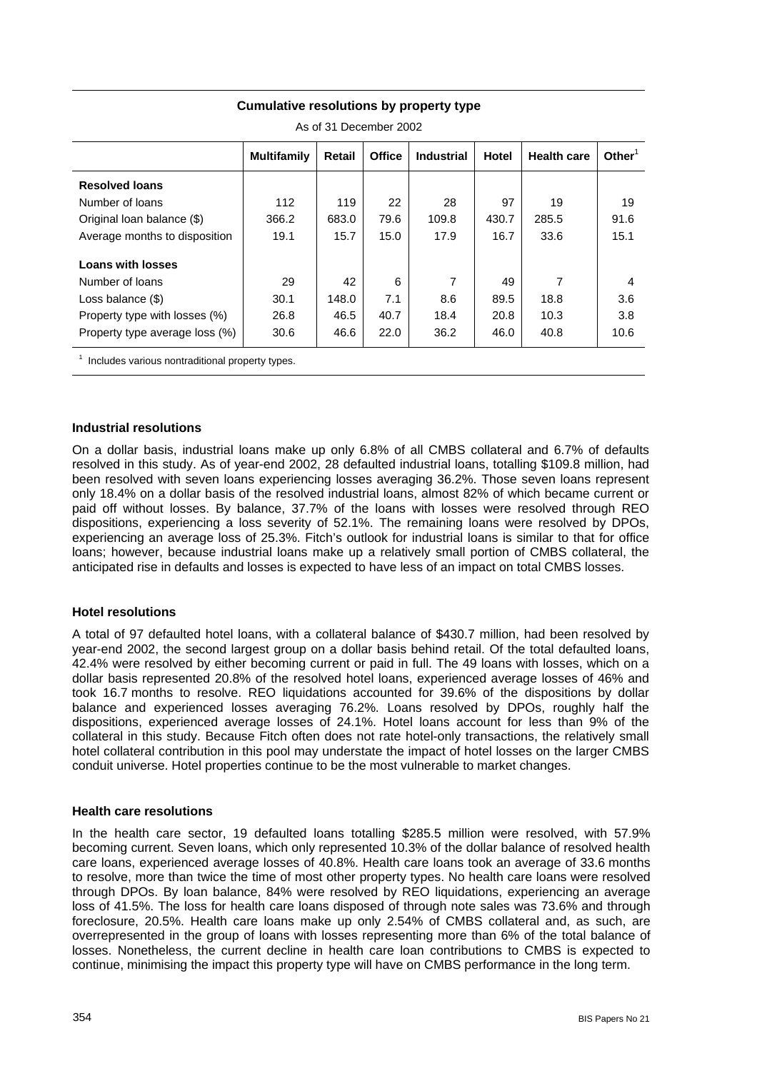| As of 31 December 2002         |                    |        |               |                   |       |                    |                    |  |  |
|--------------------------------|--------------------|--------|---------------|-------------------|-------|--------------------|--------------------|--|--|
|                                | <b>Multifamily</b> | Retail | <b>Office</b> | <b>Industrial</b> | Hotel | <b>Health care</b> | Other <sup>1</sup> |  |  |
| <b>Resolved loans</b>          |                    |        |               |                   |       |                    |                    |  |  |
| Number of loans                | 112                | 119    | 22            | 28                | 97    | 19                 | 19                 |  |  |
| Original loan balance (\$)     | 366.2              | 683.0  | 79.6          | 109.8             | 430.7 | 285.5              | 91.6               |  |  |
| Average months to disposition  | 19.1               | 15.7   | 15.0          | 17.9              | 16.7  | 33.6               | 15.1               |  |  |
| <b>Loans with losses</b>       |                    |        |               |                   |       |                    |                    |  |  |
| Number of loans                | 29                 | 42     | 6             | $\overline{7}$    | 49    | 7                  | 4                  |  |  |
| Loss balance $(\$)$            | 30.1               | 148.0  | 7.1           | 8.6               | 89.5  | 18.8               | 3.6                |  |  |
| Property type with losses (%)  | 26.8               | 46.5   | 40.7          | 18.4              | 20.8  | 10.3               | 3.8                |  |  |
| Property type average loss (%) | 30.6               | 46.6   | 22.0          | 36.2              | 46.0  | 40.8               | 10.6               |  |  |
|                                |                    |        |               |                   |       |                    |                    |  |  |

#### **Cumulative resolutions by property type**

 $1$  Includes various nontraditional property types.

#### **Industrial resolutions**

On a dollar basis, industrial loans make up only 6.8% of all CMBS collateral and 6.7% of defaults resolved in this study. As of year-end 2002, 28 defaulted industrial loans, totalling \$109.8 million, had been resolved with seven loans experiencing losses averaging 36.2%. Those seven loans represent only 18.4% on a dollar basis of the resolved industrial loans, almost 82% of which became current or paid off without losses. By balance, 37.7% of the loans with losses were resolved through REO dispositions, experiencing a loss severity of 52.1%. The remaining loans were resolved by DPOs, experiencing an average loss of 25.3%. Fitch's outlook for industrial loans is similar to that for office loans; however, because industrial loans make up a relatively small portion of CMBS collateral, the anticipated rise in defaults and losses is expected to have less of an impact on total CMBS losses.

#### **Hotel resolutions**

A total of 97 defaulted hotel loans, with a collateral balance of \$430.7 million, had been resolved by year-end 2002, the second largest group on a dollar basis behind retail. Of the total defaulted loans, 42.4% were resolved by either becoming current or paid in full. The 49 loans with losses, which on a dollar basis represented 20.8% of the resolved hotel loans, experienced average losses of 46% and took 16.7 months to resolve. REO liquidations accounted for 39.6% of the dispositions by dollar balance and experienced losses averaging 76.2%. Loans resolved by DPOs, roughly half the dispositions, experienced average losses of 24.1%. Hotel loans account for less than 9% of the collateral in this study. Because Fitch often does not rate hotel-only transactions, the relatively small hotel collateral contribution in this pool may understate the impact of hotel losses on the larger CMBS conduit universe. Hotel properties continue to be the most vulnerable to market changes.

#### **Health care resolutions**

In the health care sector, 19 defaulted loans totalling \$285.5 million were resolved, with 57.9% becoming current. Seven loans, which only represented 10.3% of the dollar balance of resolved health care loans, experienced average losses of 40.8%. Health care loans took an average of 33.6 months to resolve, more than twice the time of most other property types. No health care loans were resolved through DPOs. By loan balance, 84% were resolved by REO liquidations, experiencing an average loss of 41.5%. The loss for health care loans disposed of through note sales was 73.6% and through foreclosure, 20.5%. Health care loans make up only 2.54% of CMBS collateral and, as such, are overrepresented in the group of loans with losses representing more than 6% of the total balance of losses. Nonetheless, the current decline in health care loan contributions to CMBS is expected to continue, minimising the impact this property type will have on CMBS performance in the long term.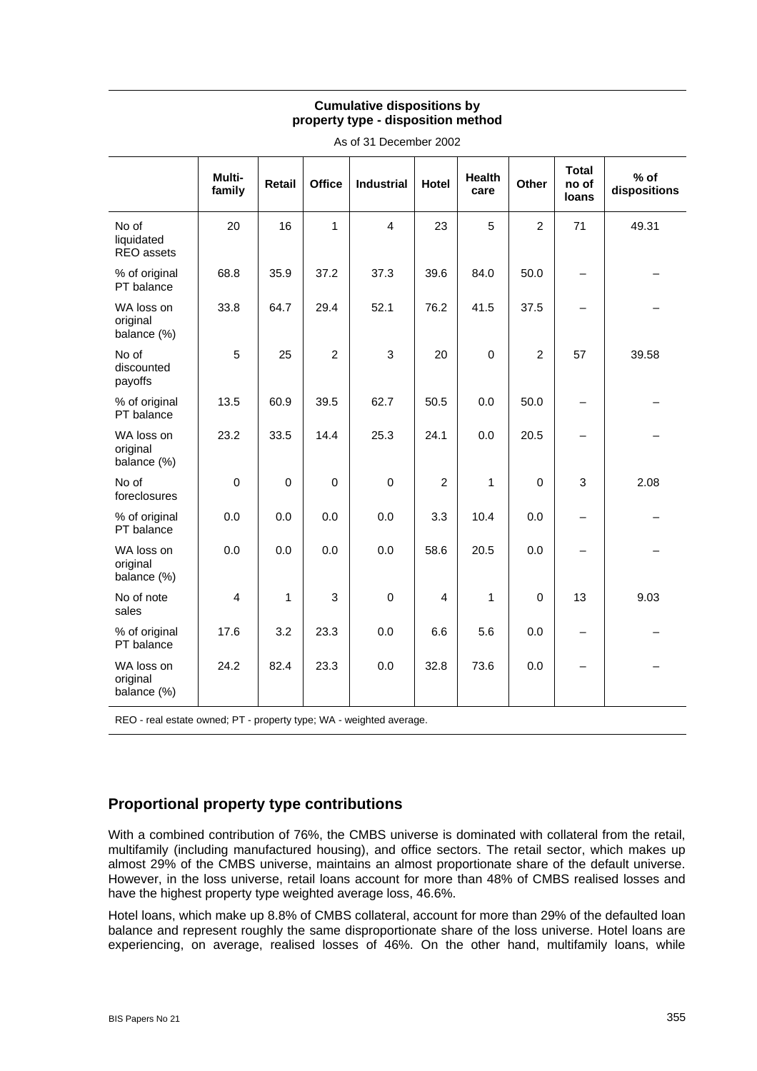### **Cumulative dispositions by property type - disposition method**

|                                       | Multi-<br>family | <b>Retail</b> | <b>Office</b>  | <b>Industrial</b> | <b>Hotel</b>   | <b>Health</b><br>care | Other          | <b>Total</b><br>no of<br>loans | % of<br>dispositions |
|---------------------------------------|------------------|---------------|----------------|-------------------|----------------|-----------------------|----------------|--------------------------------|----------------------|
| No of<br>liquidated<br>REO assets     | 20               | 16            | 1              | $\overline{4}$    | 23             | 5                     | $\overline{2}$ | 71                             | 49.31                |
| % of original<br>PT balance           | 68.8             | 35.9          | 37.2           | 37.3              | 39.6           | 84.0                  | 50.0           | $\qquad \qquad -$              |                      |
| WA loss on<br>original<br>balance (%) | 33.8             | 64.7          | 29.4           | 52.1              | 76.2           | 41.5                  | 37.5           | $\overline{\phantom{0}}$       |                      |
| No of<br>discounted<br>payoffs        | 5                | 25            | $\overline{2}$ | 3                 | 20             | $\mathbf 0$           | $\overline{2}$ | 57                             | 39.58                |
| % of original<br>PT balance           | 13.5             | 60.9          | 39.5           | 62.7              | 50.5           | 0.0                   | 50.0           | $\qquad \qquad -$              |                      |
| WA loss on<br>original<br>balance (%) | 23.2             | 33.5          | 14.4           | 25.3              | 24.1           | 0.0                   | 20.5           | —                              |                      |
| No of<br>foreclosures                 | $\mathbf 0$      | $\Omega$      | 0              | $\mathbf 0$       | $\overline{2}$ | 1                     | $\mathbf 0$    | 3                              | 2.08                 |
| % of original<br>PT balance           | 0.0              | 0.0           | 0.0            | 0.0               | 3.3            | 10.4                  | 0.0            | $\qquad \qquad -$              |                      |
| WA loss on<br>original<br>balance (%) | 0.0              | 0.0           | 0.0            | 0.0               | 58.6           | 20.5                  | 0.0            | $\overline{\phantom{0}}$       |                      |
| No of note<br>sales                   | $\overline{4}$   | 1             | 3              | $\mathbf 0$       | $\overline{4}$ | 1                     | $\Omega$       | 13                             | 9.03                 |
| % of original<br>PT balance           | 17.6             | 3.2           | 23.3           | 0.0               | 6.6            | 5.6                   | 0.0            | $\qquad \qquad -$              |                      |
| WA loss on<br>original<br>balance (%) | 24.2             | 82.4          | 23.3           | 0.0               | 32.8           | 73.6                  | 0.0            | $\overline{\phantom{0}}$       |                      |

As of 31 December 2002

REO - real estate owned; PT - property type; WA - weighted average.

## **Proportional property type contributions**

With a combined contribution of 76%, the CMBS universe is dominated with collateral from the retail. multifamily (including manufactured housing), and office sectors. The retail sector, which makes up almost 29% of the CMBS universe, maintains an almost proportionate share of the default universe. However, in the loss universe, retail loans account for more than 48% of CMBS realised losses and have the highest property type weighted average loss, 46.6%.

Hotel loans, which make up 8.8% of CMBS collateral, account for more than 29% of the defaulted loan balance and represent roughly the same disproportionate share of the loss universe. Hotel loans are experiencing, on average, realised losses of 46%. On the other hand, multifamily loans, while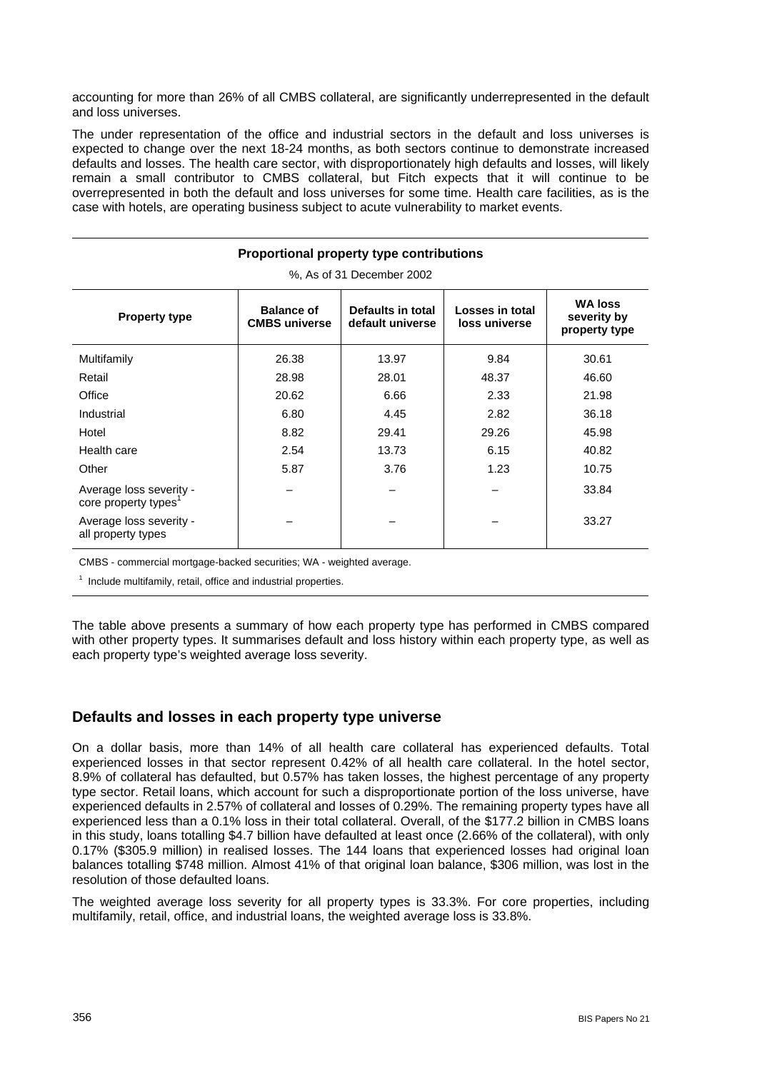accounting for more than 26% of all CMBS collateral, are significantly underrepresented in the default and loss universes.

The under representation of the office and industrial sectors in the default and loss universes is expected to change over the next 18-24 months, as both sectors continue to demonstrate increased defaults and losses. The health care sector, with disproportionately high defaults and losses, will likely remain a small contributor to CMBS collateral, but Fitch expects that it will continue to be overrepresented in both the default and loss universes for some time. Health care facilities, as is the case with hotels, are operating business subject to acute vulnerability to market events.

| Proportional property type contributions                    |                                           |                                       |                                  |                                                |  |  |  |  |  |
|-------------------------------------------------------------|-------------------------------------------|---------------------------------------|----------------------------------|------------------------------------------------|--|--|--|--|--|
| %, As of 31 December 2002                                   |                                           |                                       |                                  |                                                |  |  |  |  |  |
| <b>Property type</b>                                        | <b>Balance of</b><br><b>CMBS</b> universe | Defaults in total<br>default universe | Losses in total<br>loss universe | <b>WA loss</b><br>severity by<br>property type |  |  |  |  |  |
| Multifamily                                                 | 26.38                                     | 13.97                                 | 9.84                             | 30.61                                          |  |  |  |  |  |
| Retail                                                      | 28.98                                     | 28.01                                 | 48.37                            | 46.60                                          |  |  |  |  |  |
| Office                                                      | 20.62                                     | 6.66                                  | 2.33                             | 21.98                                          |  |  |  |  |  |
| Industrial                                                  | 6.80                                      | 4.45                                  | 2.82                             | 36.18                                          |  |  |  |  |  |
| Hotel                                                       | 8.82                                      | 29.41                                 | 29.26                            | 45.98                                          |  |  |  |  |  |
| Health care                                                 | 2.54                                      | 13.73                                 | 6.15                             | 40.82                                          |  |  |  |  |  |
| Other                                                       | 5.87                                      | 3.76                                  | 1.23                             | 10.75                                          |  |  |  |  |  |
| Average loss severity -<br>core property types <sup>1</sup> |                                           |                                       |                                  | 33.84                                          |  |  |  |  |  |
| Average loss severity -<br>all property types               |                                           |                                       |                                  | 33.27                                          |  |  |  |  |  |

CMBS - commercial mortgage-backed securities; WA - weighted average.

 $1$  Include multifamily, retail, office and industrial properties.

The table above presents a summary of how each property type has performed in CMBS compared with other property types. It summarises default and loss history within each property type, as well as each property type's weighted average loss severity.

## **Defaults and losses in each property type universe**

On a dollar basis, more than 14% of all health care collateral has experienced defaults. Total experienced losses in that sector represent 0.42% of all health care collateral. In the hotel sector, 8.9% of collateral has defaulted, but 0.57% has taken losses, the highest percentage of any property type sector. Retail loans, which account for such a disproportionate portion of the loss universe, have experienced defaults in 2.57% of collateral and losses of 0.29%. The remaining property types have all experienced less than a 0.1% loss in their total collateral. Overall, of the \$177.2 billion in CMBS loans in this study, loans totalling \$4.7 billion have defaulted at least once (2.66% of the collateral), with only 0.17% (\$305.9 million) in realised losses. The 144 loans that experienced losses had original loan balances totalling \$748 million. Almost 41% of that original loan balance, \$306 million, was lost in the resolution of those defaulted loans.

The weighted average loss severity for all property types is 33.3%. For core properties, including multifamily, retail, office, and industrial loans, the weighted average loss is 33.8%.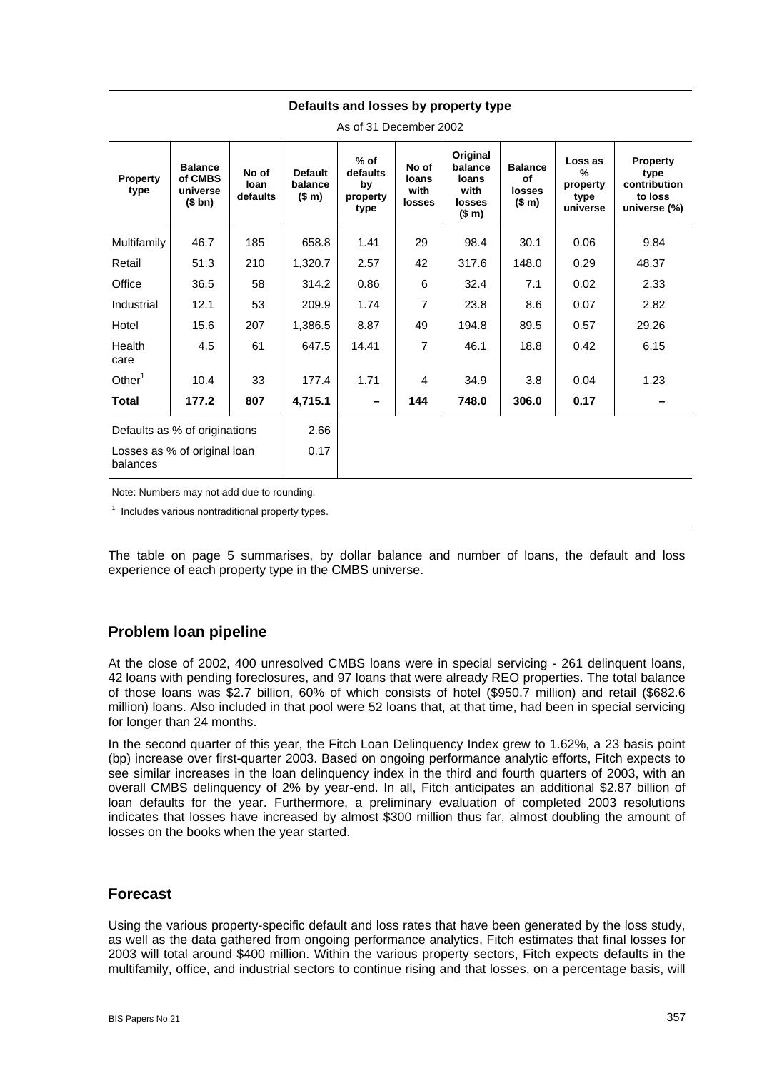#### **Defaults and losses by property type**

| Property<br>type                         | <b>Balance</b><br>of CMBS<br>universe<br>(\$bn) | No of<br>loan<br>defaults | <b>Default</b><br>balance<br>(\$m) | $%$ of<br>defaults<br>by<br>property<br>type | No of<br>loans<br>with<br>losses | Original<br>balance<br>loans<br>with<br>losses<br>(\$m) | <b>Balance</b><br>of<br><b>losses</b><br>(\$m) | Loss as<br>%<br>property<br>type<br>universe | <b>Property</b><br>type<br>contribution<br>to loss<br>universe (%) |
|------------------------------------------|-------------------------------------------------|---------------------------|------------------------------------|----------------------------------------------|----------------------------------|---------------------------------------------------------|------------------------------------------------|----------------------------------------------|--------------------------------------------------------------------|
| Multifamily                              | 46.7                                            | 185                       | 658.8                              | 1.41                                         | 29                               | 98.4                                                    | 30.1                                           | 0.06                                         | 9.84                                                               |
| Retail                                   | 51.3                                            | 210                       | 1,320.7                            | 2.57                                         | 42                               | 317.6                                                   | 148.0                                          | 0.29                                         | 48.37                                                              |
| Office                                   | 36.5                                            | 58                        | 314.2                              | 0.86                                         | 6                                | 32.4                                                    | 7.1                                            | 0.02                                         | 2.33                                                               |
| Industrial                               | 12.1                                            | 53                        | 209.9                              | 1.74                                         | 7                                | 23.8                                                    | 8.6                                            | 0.07                                         | 2.82                                                               |
| Hotel                                    | 15.6                                            | 207                       | 1,386.5                            | 8.87                                         | 49                               | 194.8                                                   | 89.5                                           | 0.57                                         | 29.26                                                              |
| Health<br>care                           | 4.5                                             | 61                        | 647.5                              | 14.41                                        | 7                                | 46.1                                                    | 18.8                                           | 0.42                                         | 6.15                                                               |
| Other $1$                                | 10.4                                            | 33                        | 177.4                              | 1.71                                         | $\overline{4}$                   | 34.9                                                    | 3.8                                            | 0.04                                         | 1.23                                                               |
| <b>Total</b>                             | 177.2                                           | 807                       | 4,715.1                            | -                                            | 144                              | 748.0                                                   | 306.0                                          | 0.17                                         |                                                                    |
| Defaults as % of originations            |                                                 | 2.66                      |                                    |                                              |                                  |                                                         |                                                |                                              |                                                                    |
| Losses as % of original loan<br>balances |                                                 |                           | 0.17                               |                                              |                                  |                                                         |                                                |                                              |                                                                    |

As of 31 December 2002

Note: Numbers may not add due to rounding.

 $1$  Includes various nontraditional property types.

The table on page 5 summarises, by dollar balance and number of loans, the default and loss experience of each property type in the CMBS universe.

## **Problem loan pipeline**

At the close of 2002, 400 unresolved CMBS loans were in special servicing - 261 delinquent loans, 42 loans with pending foreclosures, and 97 loans that were already REO properties. The total balance of those loans was \$2.7 billion, 60% of which consists of hotel (\$950.7 million) and retail (\$682.6 million) loans. Also included in that pool were 52 loans that, at that time, had been in special servicing for longer than 24 months.

In the second quarter of this year, the Fitch Loan Delinquency Index grew to 1.62%, a 23 basis point (bp) increase over first-quarter 2003. Based on ongoing performance analytic efforts, Fitch expects to see similar increases in the loan delinquency index in the third and fourth quarters of 2003, with an overall CMBS delinquency of 2% by year-end. In all, Fitch anticipates an additional \$2.87 billion of loan defaults for the year. Furthermore, a preliminary evaluation of completed 2003 resolutions indicates that losses have increased by almost \$300 million thus far, almost doubling the amount of losses on the books when the year started.

## **Forecast**

Using the various property-specific default and loss rates that have been generated by the loss study, as well as the data gathered from ongoing performance analytics, Fitch estimates that final losses for 2003 will total around \$400 million. Within the various property sectors, Fitch expects defaults in the multifamily, office, and industrial sectors to continue rising and that losses, on a percentage basis, will